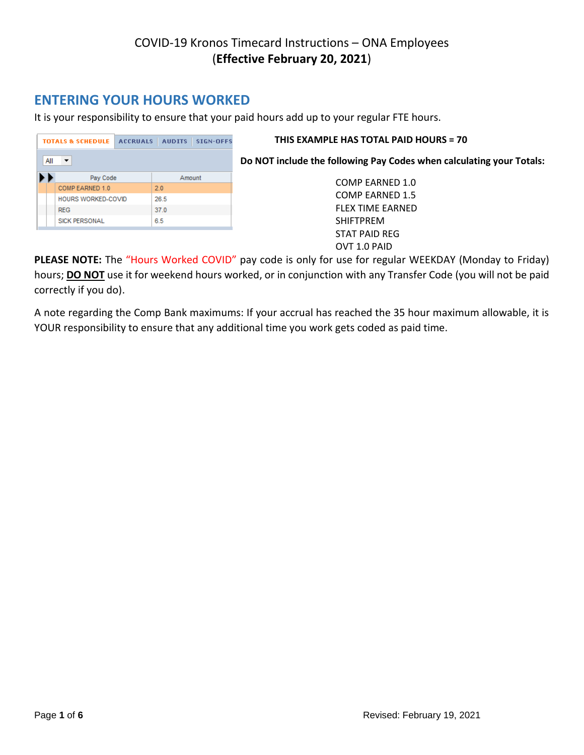# **ENTERING YOUR HOURS WORKED**

It is your responsibility to ensure that your paid hours add up to your regular FTE hours.

| <b>TOTALS &amp; SCHEDULE</b> |                           | <b>ACCRUALS</b> | <b>AUDITS</b> | <b>SIGN-OFFS</b> |  |  |  |  |  |
|------------------------------|---------------------------|-----------------|---------------|------------------|--|--|--|--|--|
| All                          |                           |                 |               |                  |  |  |  |  |  |
|                              | Pay Code                  |                 | Amount        |                  |  |  |  |  |  |
|                              | COMP EARNED 1.0           |                 | 2.0           |                  |  |  |  |  |  |
|                              | <b>HOURS WORKED-COVID</b> |                 | 26.5          |                  |  |  |  |  |  |
|                              | <b>REG</b>                |                 | 37.0          |                  |  |  |  |  |  |
|                              | <b>SICK PERSONAL</b>      |                 | 6.5           |                  |  |  |  |  |  |
|                              |                           |                 |               |                  |  |  |  |  |  |

**THIS EXAMPLE HAS TOTAL PAID HOURS = 70**

**Do NOT include the following Pay Codes when calculating your Totals:**

COMP EARNED 1.0 COMP EARNED 1.5 FLEX TIME EARNED SHIFTPREM STAT PAID REG OVT 1.0 PAID

**PLEASE NOTE:** The "Hours Worked COVID" pay code is only for use for regular WEEKDAY (Monday to Friday) hours; **DO NOT** use it for weekend hours worked, or in conjunction with any Transfer Code (you will not be paid correctly if you do).

A note regarding the Comp Bank maximums: If your accrual has reached the 35 hour maximum allowable, it is YOUR responsibility to ensure that any additional time you work gets coded as paid time.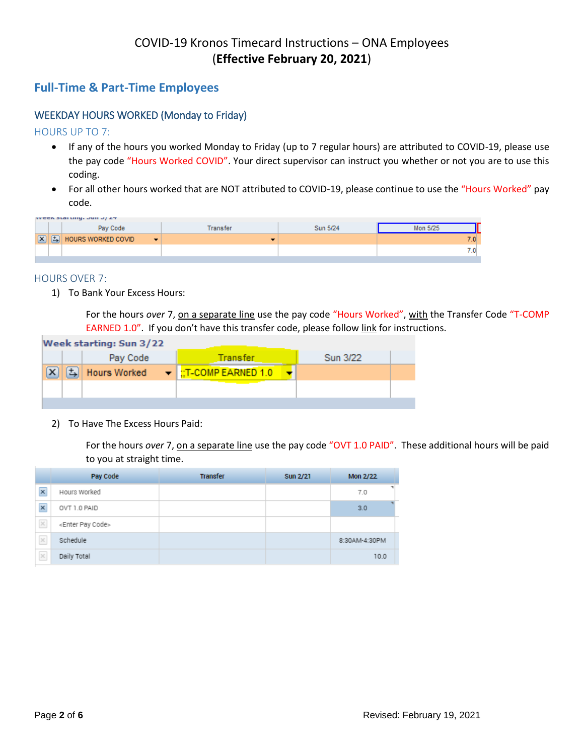# **Full-Time & Part-Time Employees**

### WEEKDAY HOURS WORKED (Monday to Friday)

HOURS UP TO 7:

- If any of the hours you worked Monday to Friday (up to 7 regular hours) are attributed to COVID-19, please use the pay code "Hours Worked COVID". Your direct supervisor can instruct you whether or not you are to use this coding.
- For all other hours worked that are NOT attributed to COVID-19, please continue to use the "Hours Worked" pay code.

| <b>WEEK STATEMY, JUNI J/ LT</b> |                                                                              |          |          |                 |  |  |  |  |  |  |  |
|---------------------------------|------------------------------------------------------------------------------|----------|----------|-----------------|--|--|--|--|--|--|--|
|                                 | Pay Code                                                                     | Transfer | Sun 5/24 | Mon 5/25        |  |  |  |  |  |  |  |
|                                 | $ \mathbf{X} $ $ \mathbf{B} $ Hours worked covid<br>$\overline{\phantom{a}}$ |          |          | 7.01            |  |  |  |  |  |  |  |
|                                 |                                                                              |          |          | $\sim$ 0 $\sim$ |  |  |  |  |  |  |  |
|                                 |                                                                              |          |          |                 |  |  |  |  |  |  |  |

### HOURS OVER 7:

1) To Bank Your Excess Hours:

For the hours *over* 7, on a separate line use the pay code "Hours Worked", with the Transfer Code "T-COMP EARNED 1.0". If you don't have this transfer code, please follow [link](http://intranet.smdhu.net/HR/Payroll/comp-hours-earned) for instructions.

| Week starting: Sun 3/22 |       |              |  |                                             |  |          |  |  |  |
|-------------------------|-------|--------------|--|---------------------------------------------|--|----------|--|--|--|
|                         |       | Pay Code     |  | Transfer                                    |  | Sun 3/22 |  |  |  |
|                         | $\pm$ | Hours Worked |  | $\blacktriangleright$   ::T-COMP EARNED 1.0 |  |          |  |  |  |
|                         |       |              |  |                                             |  |          |  |  |  |
|                         |       |              |  |                                             |  |          |  |  |  |

2) To Have The Excess Hours Paid:

For the hours *over* 7, on a separate line use the pay code "OVT 1.0 PAID". These additional hours will be paid to you at straight time.

|                | Pay Code                       | <b>Transfer</b> | Sun 2/21 | <b>Mon 2/22</b> |
|----------------|--------------------------------|-----------------|----------|-----------------|
| $\pmb{\times}$ | Hours Worked                   |                 |          | 7.0             |
| $\pmb{\times}$ | OVT 1.0 PAID                   |                 |          | 3.0             |
| $\rm \times$   | <enter code="" pay=""></enter> |                 |          |                 |
| $\times$       | Schedule                       |                 |          | 8:30AM-4:30PM   |
| $\times$       | Daily Total                    |                 |          | 10.0            |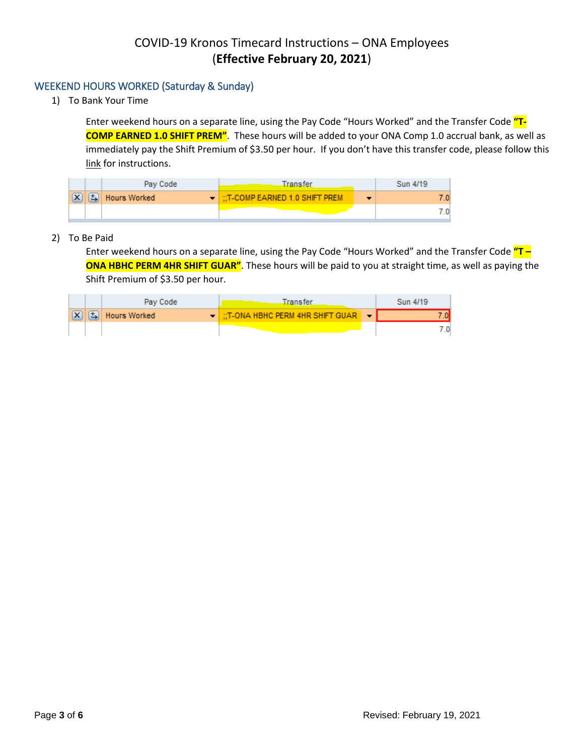### WEEKEND HOURS WORKED (Saturday & Sunday)

1) To Bank Your Time

Enter weekend hours on a separate line, using the Pay Code "Hours Worked" and the Transfer Code **"T-COMP EARNED 1.0 SHIFT PREM"**. These hours will be added to your ONA Comp 1.0 accrual bank, as well as immediately pay the Shift Premium of \$3.50 per hour. If you don't have this transfer code, please follow this [link](http://intranet.smdhu.net/HR/Payroll/comp-hours-earned) for instructions.

|                      | Pay Code         | Transfer                                               | Sun 4/19 |
|----------------------|------------------|--------------------------------------------------------|----------|
| $\boxed{\mathbf{X}}$ | [5] Hours Worked | $\blacktriangleright$   ::T-COMP EARNED 1.0 SHIFT PREM |          |
|                      |                  |                                                        |          |

### 2) To Be Paid

Enter weekend hours on a separate line, using the Pay Code "Hours Worked" and the Transfer Code **"T – ONA HBHC PERM 4HR SHIFT GUAR"**. These hours will be paid to you at straight time, as well as paying the Shift Premium of \$3.50 per hour.

|            | Pay Code                   | Transfer                                                     | Sun 4/19 |
|------------|----------------------------|--------------------------------------------------------------|----------|
| $\sqrt{X}$ | $  \exists  $ Hours Worked | $\mathbf{v}$   ::T-ONA HBHC PERM 4HR SHIFT GUAR $\mathbf{v}$ |          |
|            |                            |                                                              | .01      |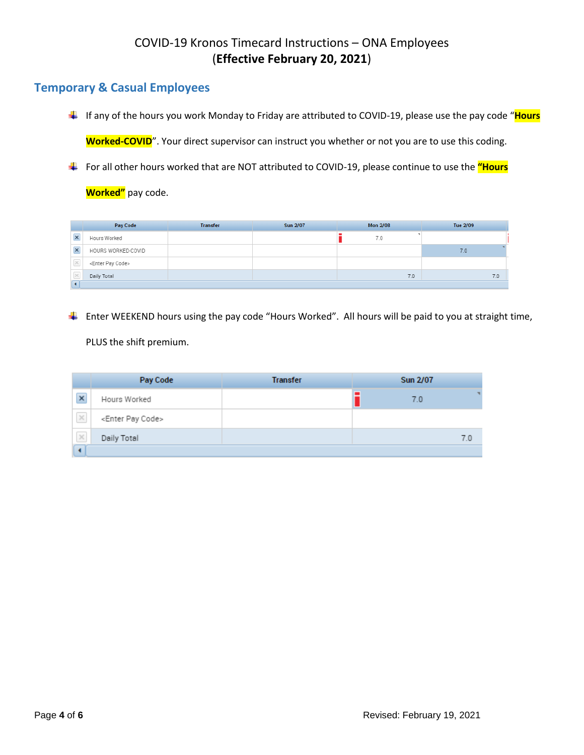### **Temporary & Casual Employees**

If any of the hours you work Monday to Friday are attributed to COVID-19, please use the pay code "**Hours** 

**Worked-COVID**". Your direct supervisor can instruct you whether or not you are to use this coding.

For all other hours worked that are NOT attributed to COVID-19, please continue to use the **"Hours** 

**Worked"** pay code.

|                         | <b>Pay Code</b>                | <b>Transfer</b> | Sun 2/07 | <b>Mon 2/08</b> | Tue 2/09 |
|-------------------------|--------------------------------|-----------------|----------|-----------------|----------|
| $\overline{\mathbf{x}}$ | Hours Worked                   |                 |          | 7.0             |          |
| $\times$                | HOURS WORKED-COVID             |                 |          |                 | 7.0      |
|                         | <enter code="" pay=""></enter> |                 |          |                 |          |
|                         | Daily Total                    |                 |          | 7.0             | 7.0      |
|                         |                                |                 |          |                 |          |

 $\ddot{+}$  Enter WEEKEND hours using the pay code "Hours Worked". All hours will be paid to you at straight time,

PLUS the shift premium.

|                | <b>Pay Code</b>                | <b>Transfer</b> | <b>Sun 2/07</b> |     |
|----------------|--------------------------------|-----------------|-----------------|-----|
| $\pmb{\times}$ | Hours Worked                   |                 | 7.0             |     |
| $\times$       | <enter code="" pay=""></enter> |                 |                 |     |
| $\times$       | Daily Total                    |                 |                 | 7.0 |
|                |                                |                 |                 |     |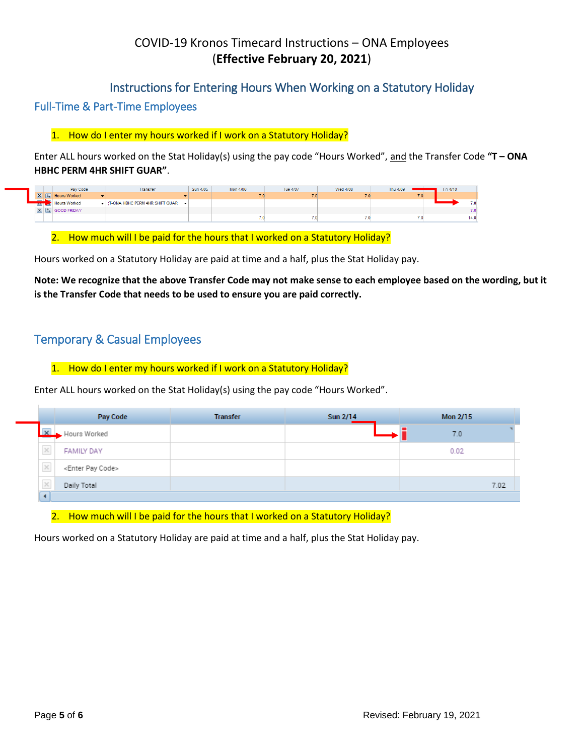### Instructions for Entering Hours When Working on a Statutory Holiday

### Full-Time & Part-Time Employees

### 1. How do I enter my hours worked if I work on a Statutory Holiday?

Enter ALL hours worked on the Stat Holiday(s) using the pay code "Hours Worked", and the Transfer Code **"T – ONA HBHC PERM 4HR SHIFT GUAR"**.

|                 | Pay Code            | <b>Transfer</b>                                 | Sun 4/05 | Mon 4/06 | <b>Tue 4/07</b> | Wed 4/08 | Thu 4/09 | Fri 4/10 |
|-----------------|---------------------|-------------------------------------------------|----------|----------|-----------------|----------|----------|----------|
| ш               | <b>Hours Worked</b> |                                                 |          |          | w               |          |          |          |
| أنفر ويعمد      | <b>Hours Worked</b> | $\sim$   :T-ONA HBHC PERM 4HR SHIFT GUAR $\sim$ |          |          |                 |          |          | 7.0      |
| $\vert x \vert$ | $5$ GOOD FRIDAY     |                                                 |          |          |                 |          |          | 7.0      |
|                 |                     |                                                 |          |          |                 |          |          | 14.0     |

### 2. How much will I be paid for the hours that I worked on a Statutory Holiday?

Hours worked on a Statutory Holiday are paid at time and a half, plus the Stat Holiday pay.

**Note: We recognize that the above Transfer Code may not make sense to each employee based on the wording, but it is the Transfer Code that needs to be used to ensure you are paid correctly.**

# Temporary & Casual Employees

### 1. How do I enter my hours worked if I work on a Statutory Holiday?

Enter ALL hours worked on the Stat Holiday(s) using the pay code "Hours Worked".

|                                                                                                                                                                                                                                                                                                                                                                                                                                                                                        | <b>Pay Code</b>                | <b>Transfer</b> | Sun 2/14 | Mon 2/15 |
|----------------------------------------------------------------------------------------------------------------------------------------------------------------------------------------------------------------------------------------------------------------------------------------------------------------------------------------------------------------------------------------------------------------------------------------------------------------------------------------|--------------------------------|-----------------|----------|----------|
| $\mathbf{x}$                                                                                                                                                                                                                                                                                                                                                                                                                                                                           | Hours Worked                   |                 |          | 7.0      |
| ___<br>$\times$                                                                                                                                                                                                                                                                                                                                                                                                                                                                        | <b>FAMILY DAY</b>              |                 |          | 0.02     |
| $\frac{1}{2} \left( \frac{1}{2} \right) \left( \frac{1}{2} \right) \left( \frac{1}{2} \right) \left( \frac{1}{2} \right) \left( \frac{1}{2} \right) \left( \frac{1}{2} \right) \left( \frac{1}{2} \right) \left( \frac{1}{2} \right) \left( \frac{1}{2} \right) \left( \frac{1}{2} \right) \left( \frac{1}{2} \right) \left( \frac{1}{2} \right) \left( \frac{1}{2} \right) \left( \frac{1}{2} \right) \left( \frac{1}{2} \right) \left( \frac{1}{2} \right) \left( \frac$<br>$\times$ | <enter code="" pay=""></enter> |                 |          |          |
| $\frac{1}{2} \left( \frac{1}{2} \right) \left( \frac{1}{2} \right) \left( \frac{1}{2} \right) \left( \frac{1}{2} \right) \left( \frac{1}{2} \right) \left( \frac{1}{2} \right) \left( \frac{1}{2} \right) \left( \frac{1}{2} \right) \left( \frac{1}{2} \right) \left( \frac{1}{2} \right) \left( \frac{1}{2} \right) \left( \frac{1}{2} \right) \left( \frac{1}{2} \right) \left( \frac{1}{2} \right) \left( \frac{1}{2} \right) \left( \frac{1}{2} \right) \left( \frac$             | Daily Total                    |                 |          | 7.02     |
| $\blacktriangleleft$                                                                                                                                                                                                                                                                                                                                                                                                                                                                   |                                |                 |          |          |

2. How much will I be paid for the hours that I worked on a Statutory Holiday?

Hours worked on a Statutory Holiday are paid at time and a half, plus the Stat Holiday pay.